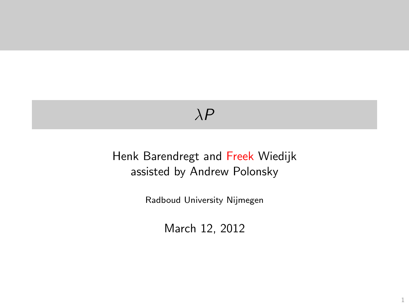# $\lambda P$

#### <span id="page-0-0"></span>Henk Barendregt and Freek Wiedijk assisted by Andrew Polonsky

Radboud University Nijmegen

March 12, 2012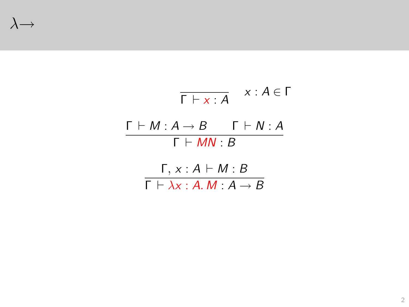<span id="page-1-0"></span> $\lambda \rightarrow$ 

$$
\begin{array}{ccc}\n\overline{\Gamma \vdash x : A} & x : A \in \Gamma \\
\hline\n\Gamma \vdash M : A \rightarrow B & \Gamma \vdash N : A \\
\hline\n\Gamma \vdash MN : B & \\
\hline\n\Gamma \vdash \lambda x : A \mathbin{:} M : A \rightarrow B\n\end{array}
$$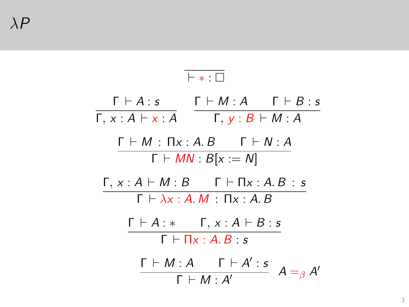<span id="page-2-0"></span>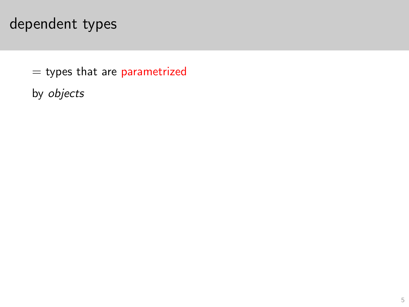- $=$  types that are parametrized
- <span id="page-4-0"></span>by objects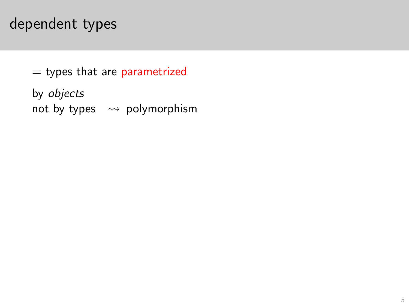$=$  types that are parametrized

<span id="page-5-0"></span>by objects not by types  $\rightsquigarrow$  polymorphism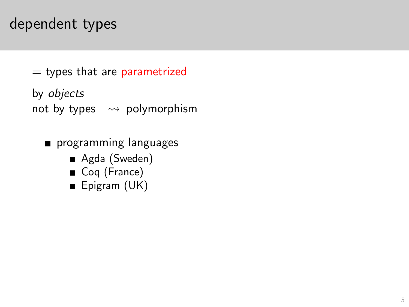$=$  types that are parametrized

by objects not by types  $\rightsquigarrow$  polymorphism

- <span id="page-6-0"></span>**programming languages** 
	- Agda (Sweden)
	- Coq (France)
	- Epigram (UK)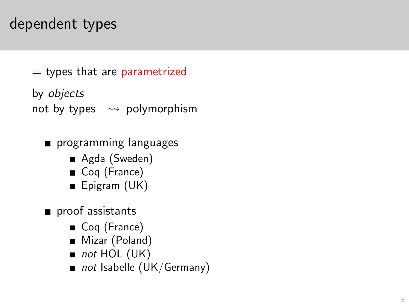$=$  types that are parametrized

by objects not by types  $\rightsquigarrow$  polymorphism

- **programming languages** 
	- Agda (Sweden)
	- Coq (France)
	- Epigram (UK)
- <span id="page-7-0"></span>proof assistants
	- Coq (France)
	- Mizar (Poland)
	- $\blacksquare$  not HOL (UK)
	- not Isabelle (UK/Germany)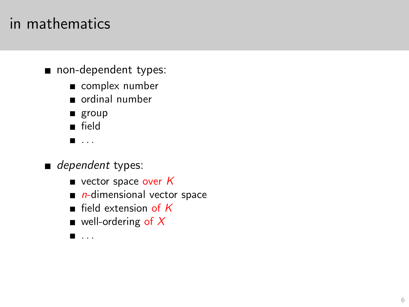### in mathematics

- non-dependent types:
	- complex number
	- ordinal number
	- group
	- field
	- $\blacksquare$  . . .
- <span id="page-8-0"></span>dependent types:
	- vector space over  $K$
	- $\blacksquare$  n-dimensional vector space
	- $\blacksquare$  field extension of  $K$
	- $\blacksquare$  well-ordering of X
	- . . .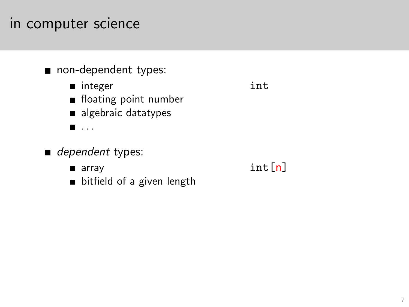#### non-dependent types:

- integer int
- **floating point number**
- algebraic datatypes
- $\blacksquare$ . . . .

#### dependent types:

- 
- <span id="page-9-0"></span>bitfield of a given length

**a** array **int**  $[n]$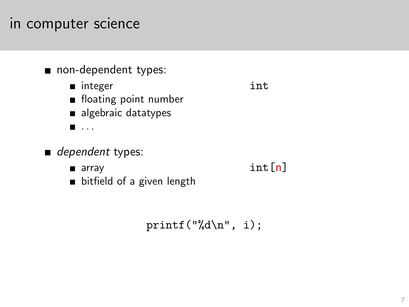#### non-dependent types:

- integer int
- **floating point number**
- algebraic datatypes
- $\blacksquare$ . . . .

#### <span id="page-10-0"></span>dependent types:

- 
- **a** array **int**  $[n]$
- bitfield of a given length

printf("%d\n", i);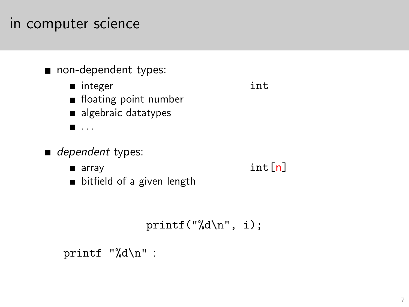#### non-dependent types:

- integer int
- **floating point number**
- algebraic datatypes
- $\blacksquare$ . . . .

#### $\blacksquare$  dependent types:

- **a** array **int**  $[n]$
- bitfield of a given length

printf("%d\n", i);

<span id="page-11-0"></span>printf "%d\n" :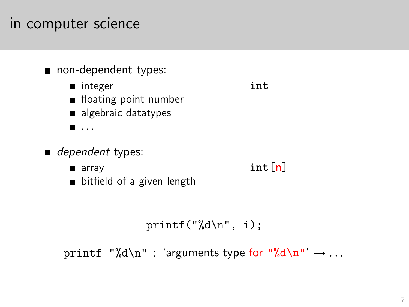#### non-dependent types:

- integer int
- **floating point number**
- algebraic datatypes
- $\blacksquare$ . . . .

#### $\blacksquare$  dependent types:

- **a** array **int**  $[n]$
- bitfield of a given length

```
printf("%d\n", i);
```
<span id="page-12-0"></span>printf "%d\n" : 'arguments type for "%d\n"'  $\rightarrow \dots$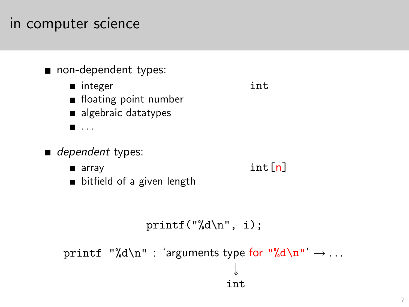#### non-dependent types:

- integer int
- **floating point number**
- algebraic datatypes
- $\blacksquare$ . . . .

#### $\blacksquare$  dependent types:

- **a** array **int**  $[n]$
- bitfield of a given length

```
printf("%d\n", i);
```
<span id="page-13-0"></span> $\texttt{printf}$  "%d\n" : 'arguments type for "%d\n"'  $\rightarrow \dots$ ↓↓ int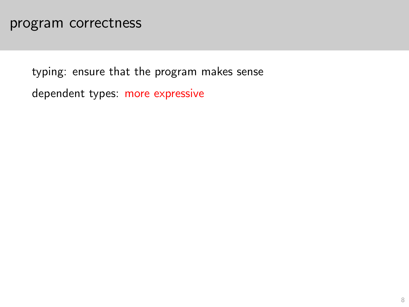<span id="page-15-0"></span>dependent types: more expressive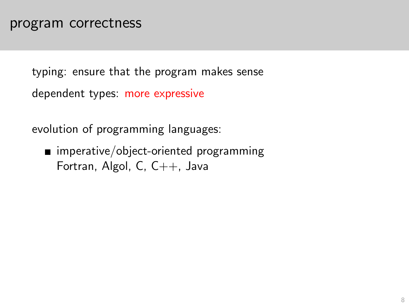dependent types: more expressive

evolution of programming languages:

<span id="page-16-0"></span>■ imperative/object-oriented programming Fortran, Algol, C, C++, Java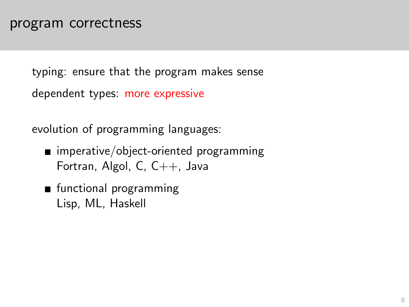dependent types: more expressive

evolution of programming languages:

- $\blacksquare$  imperative/object-oriented programming Fortran, Algol, C, C++, Java
- <span id="page-17-0"></span>**n** functional programming Lisp, ML, Haskell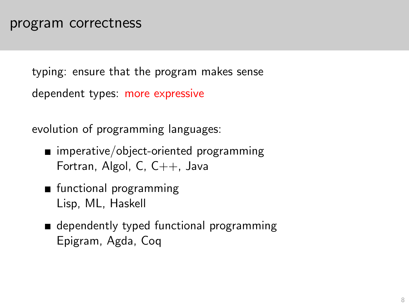dependent types: more expressive

evolution of programming languages:

- $\blacksquare$  imperative/object-oriented programming Fortran, Algol, C, C++, Java
- **n** functional programming Lisp, ML, Haskell
- <span id="page-18-0"></span>**dependently typed functional programming** Epigram, Agda, Coq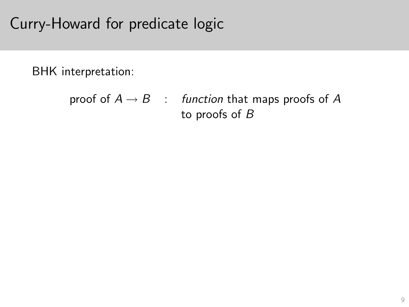# Curry-Howard for predicate logic

BHK interpretation:

```
proof of A \rightarrow B : function that maps proofs of A
                      to proofs of B
```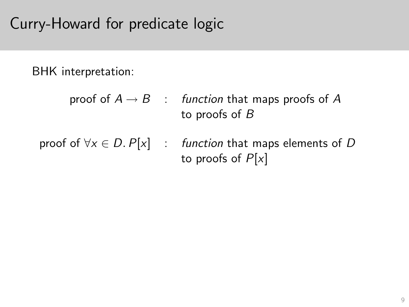# Curry-Howard for predicate logic

BHK interpretation:

- proof of  $A \rightarrow B$  : function that maps proofs of A to proofs of B
- <span id="page-20-0"></span>proof of  $\forall x \in D$ .  $P[x]$  : function that maps elements of D to proofs of  $P[x]$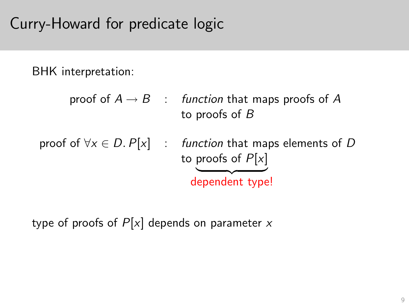# Curry-Howard for predicate logic

BHK interpretation:

- proof of  $A \rightarrow B$  : function that maps proofs of A to proofs of B
- proof of  $\forall x \in D$ .  $P[x]$  : function that maps elements of D to proofs of  $P[x]$ dependent type!

<span id="page-21-0"></span>type of proofs of  $P[x]$  depends on parameter x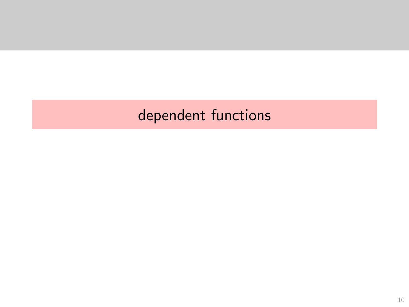# <span id="page-22-0"></span>dependent functions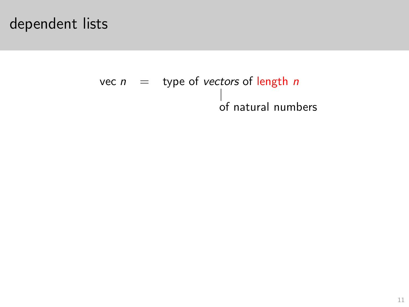### dependent lists

# <span id="page-23-0"></span>vec  $n =$  type of vectors of length n of natural numbers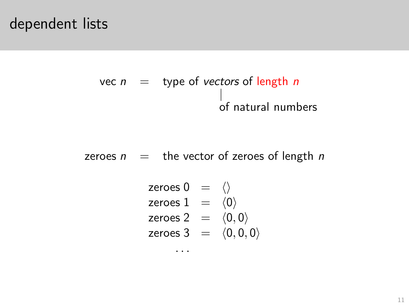### dependent lists

# vec  $n =$  type of vectors of length n of natural numbers

<span id="page-24-0"></span>zeroes  $n =$  the vector of zeroes of length n

$$
\begin{array}{rcl}\n\text{zeroes 0} & = & \langle \rangle \\
\text{zeroes 1} & = & \langle 0 \rangle \\
\text{zeroes 2} & = & \langle 0, 0 \rangle \\
\text{zeroes 3} & = & \langle 0, 0, 0 \rangle\n\end{array}
$$

 $\cdots$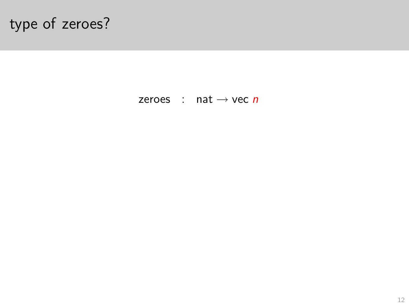<span id="page-25-0"></span>zeroes : nat  $\rightarrow$  vec *n*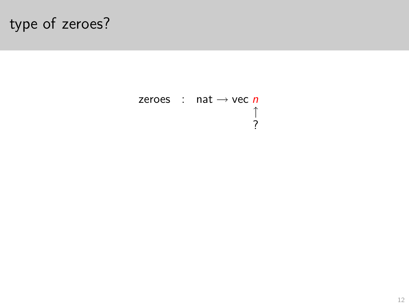<span id="page-26-0"></span>zeroes : nat  $\rightarrow$  vec *n*  $\begin{array}{c}\uparrow\\2\end{array}$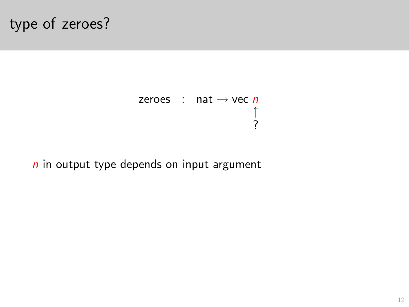zeroes : nat  $\rightarrow$  vec *n* ↑ ?

<span id="page-27-0"></span> $n$  in output type depends on input argument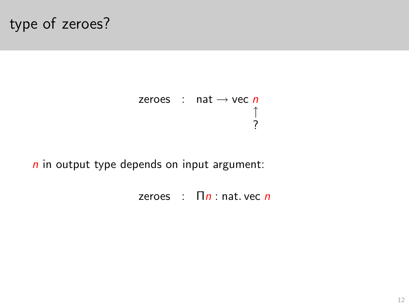zeroes : nat  $\rightarrow$  vec *n* ↑ ?

<span id="page-28-0"></span> $n$  in output type depends on input argument:

zeroes :  $\prod n$  : nat. vec *n*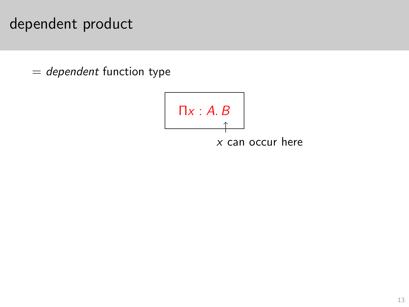## dependent product

<span id="page-29-0"></span> $=$  dependent function type

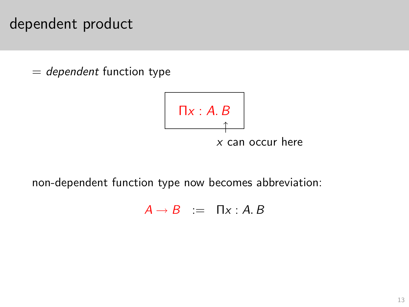### dependent product

 $=$  dependent function type



<span id="page-30-0"></span>non-dependent function type now becomes abbreviation:

 $A \rightarrow B$  :=  $\Pi x : A, B$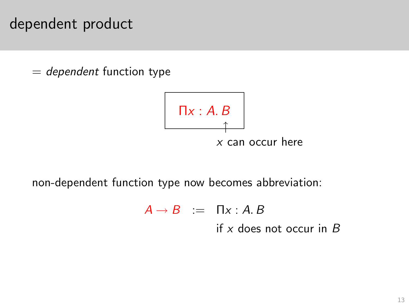### dependent product

 $=$  dependent function type



<span id="page-31-0"></span>non-dependent function type now becomes abbreviation:

 $A \rightarrow B$  :=  $\prod x:A.B$ if  $x$  does not occur in  $B$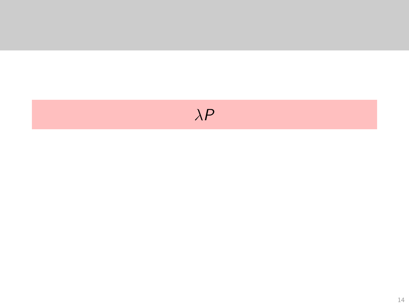# <span id="page-32-0"></span> $\lambda P$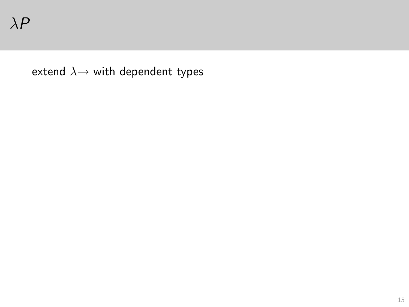<span id="page-33-0"></span>extend  $\lambda \rightarrow$  with dependent types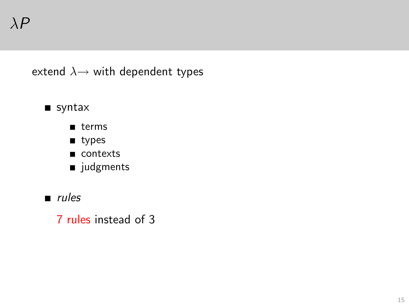extend  $\lambda \rightarrow$  with dependent types

#### syntax

- $\blacksquare$  terms
- um types
- contexts
- udgments
- <span id="page-34-0"></span> $rules$ 
	- 7 rules instead of 3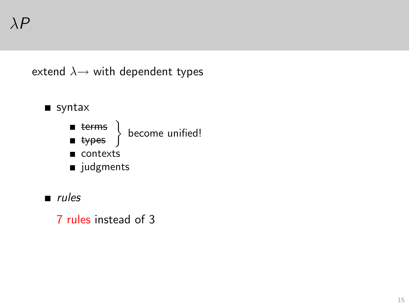extend  $\lambda \rightarrow$  with dependent types



- terms become unified! types
- contexts
- udgments
- $rules$

<span id="page-35-0"></span>7 rules instead of 3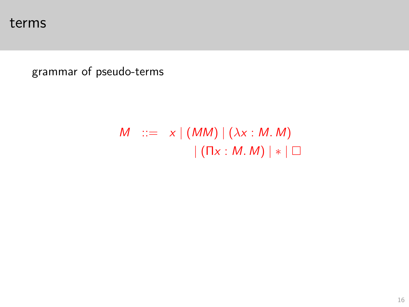<span id="page-36-0"></span>grammar of pseudo-terms

$$
M ::= x | (MM) | (\lambda x : M. M)
$$

$$
| (Tx : M. M) | * | \Box
$$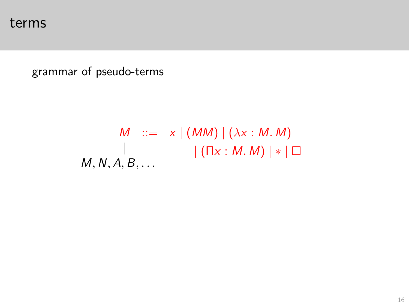grammar of pseudo-terms

<span id="page-37-0"></span>
$$
M ::= x | (MM) | (\lambda x : M.M)
$$
  
 
$$
| (Tx : M.M) | * | \square
$$
  
 
$$
M, N, A, B, ...
$$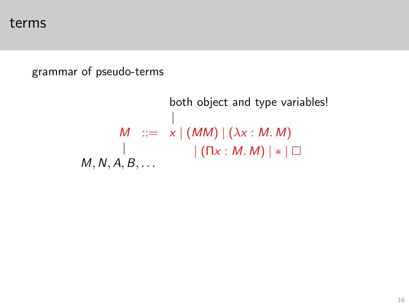#### <span id="page-38-0"></span>grammar of pseudo-terms

both object and type variables! |  $M$  ::=  $x | (MM) | (\lambda x : M. M)$  $|$  (Πx : M, M) | ∗ | □  $M, N, A, B, \ldots$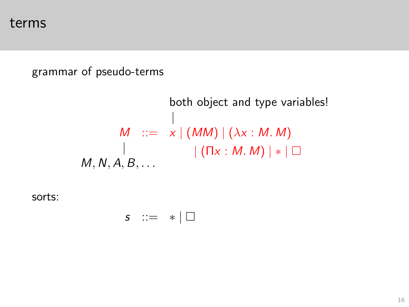#### grammar of pseudo-terms

both object and type variables! |  $M$  ::=  $x | (MM) | (\lambda x : M. M)$  $|$  (Πx : M, M) | ∗ | □  $M, N, A, B, \ldots$ 

<span id="page-39-0"></span>sorts:

$$
s \ ::= \ * \ | \ \Box
$$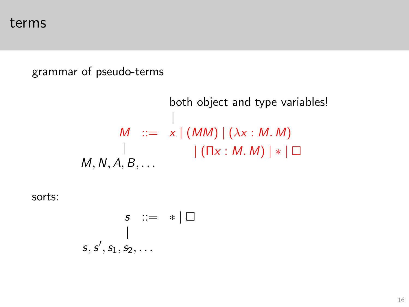#### grammar of pseudo-terms

both object and type variables! |  $M$  ::=  $x | (MM) | (\lambda x : M. M)$  $|$  (Πx : M, M) | ∗ | □  $M, N, A, B, \ldots$ 

<span id="page-40-0"></span>sorts:

$$
\begin{array}{ccc}\n s & ::= & * | \Box \\
 & & | & \\
 s, s', s_1, s_2, \ldots\n\end{array}
$$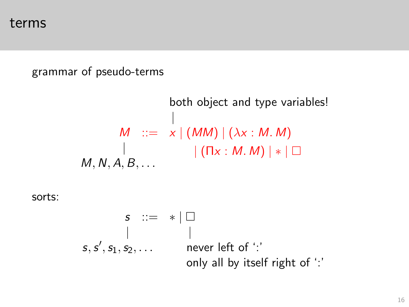#### grammar of pseudo-terms

both object and type variables! |  $M$  ::=  $x | (MM) | (\lambda x : M. M)$  $|$  (Πx : M, M) | ∗ | □  $M, N, A, B, \ldots$ 

<span id="page-41-0"></span>sorts:

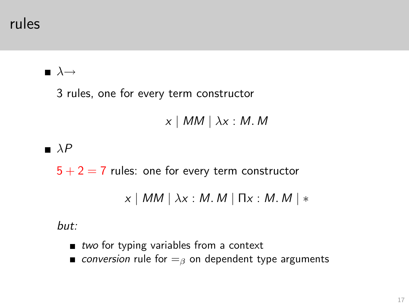rules

#### $\blacksquare$   $\lambda \rightarrow$

3 rules, one for every term constructor

$$
x \mid MM \mid \lambda x : M. M
$$

#### $\blacksquare$   $\lambda$ P

 $5 + 2 = 7$  rules: one for every term constructor

 $x \mid MM \mid \lambda x : M. M \mid \Pi x : M. M \mid *$ 

but:

- $\blacksquare$  two for typing variables from a context
- <span id="page-42-0"></span>conversion rule for  $=$ <sub>β</sub> on dependent type arguments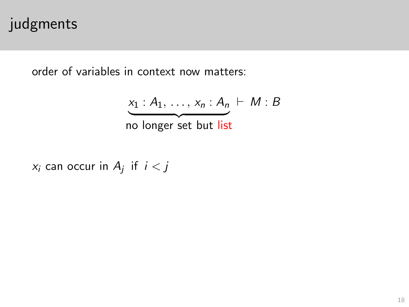# judgments

order of variables in context now matters:

$$
\underbrace{x_1 : A_1, \ldots, x_n : A_n}_{\text{no longer set but list}} \vdash M : B
$$

<span id="page-43-0"></span> $x_i$  can occur in  $A_j$  if  $i < j$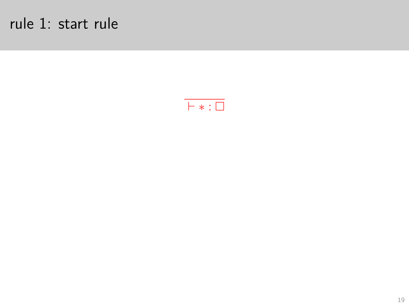# rule 1: start rule

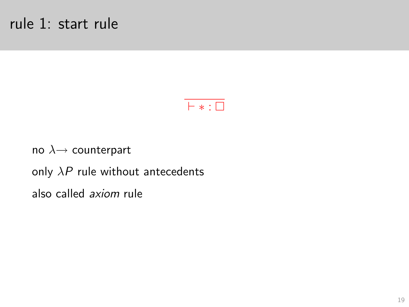

no  $\lambda \rightarrow$  counterpart only  $\lambda P$  rule without antecedents also called axiom rule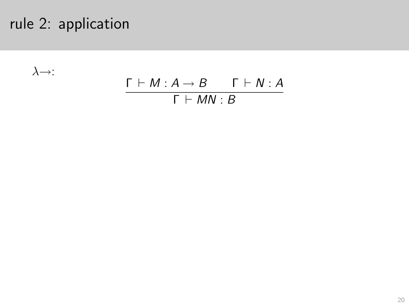# rule 2: application

 $\lambda \rightarrow$ :

$$
\frac{\Gamma \vdash M : A \to B \qquad \Gamma \vdash N : A}{\Gamma \vdash MN : B}
$$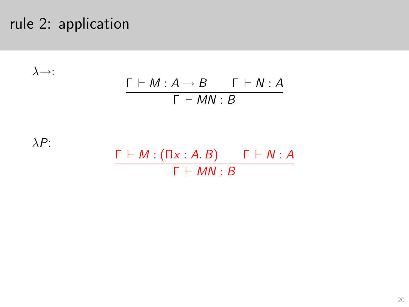# rule 2: application

$$
\lambda \rightarrow : \qquad \qquad \frac{\Gamma \vdash M : A \rightarrow B \qquad \Gamma \vdash N : A}{\Gamma \vdash MN : B}
$$

 $\lambda P$ :

$$
\frac{\Gamma \vdash M : (\Pi x : A. B) \qquad \Gamma \vdash N : A}{\Gamma \vdash MN : B}
$$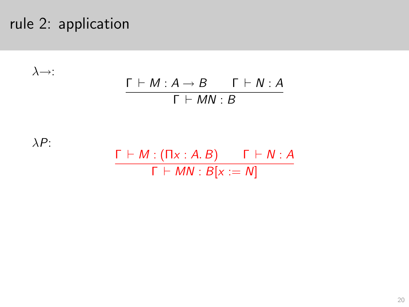# rule 2: application

$$
\lambda \rightarrow : \qquad \qquad \frac{\Gamma \vdash M : A \rightarrow B \qquad \Gamma \vdash N : A}{\Gamma \vdash MN : B}
$$

 $\lambda P$ :

$$
\frac{\Gamma \vdash M : (\Pi x : A. B) \qquad \Gamma \vdash N : A}{\Gamma \vdash MN : B[x := N]}
$$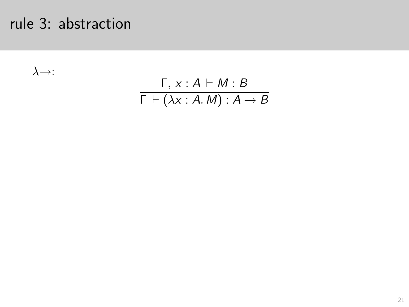$\lambda \rightarrow$ :

$$
\frac{\Gamma, x:A \vdash M:B}{\Gamma \vdash (\lambda x:A.M): A \rightarrow B}
$$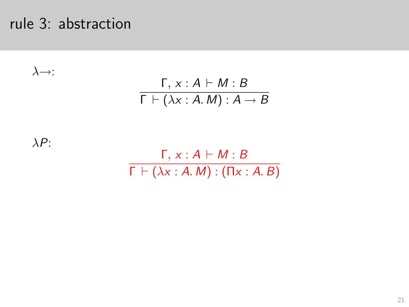$\lambda \rightarrow$ :

$$
\frac{\Gamma, x:A \vdash M:B}{\Gamma \vdash (\lambda x:A.M): A \rightarrow B}
$$

 $\lambda P$ :

Γ, x : A ⊢ M : B  $\overline{\Gamma \vdash (\lambda x : A.M) : (\Pi x : A.B)}$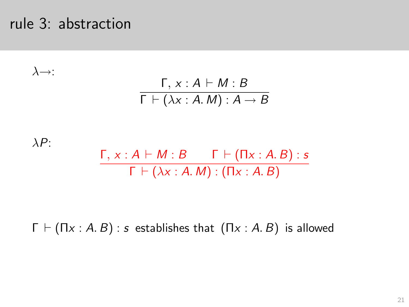$\lambda \rightarrow$ :

$$
\frac{\Gamma, x:A \vdash M:B}{\Gamma \vdash (\lambda x:A.M): A \rightarrow B}
$$

 $\lambda P$ :  $\Gamma, x : A \vdash M : B \qquad \Gamma \vdash (\Pi x : A.B) : s$  $\Gamma \vdash (\lambda x : A, M) : (\Pi x : A, B)$ 

 $\Gamma \vdash (\Pi x : A, B) : s$  establishes that  $(\Pi x : A, B)$  is allowed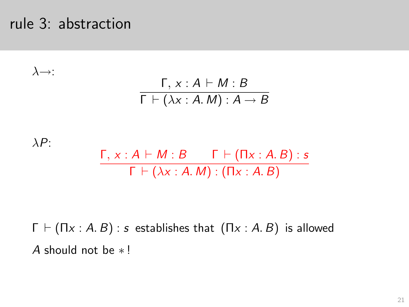$\lambda \rightarrow$ :

$$
\frac{\Gamma, x:A \vdash M:B}{\Gamma \vdash (\lambda x:A.M): A \rightarrow B}
$$

 $\lambda P$ :  $\Gamma, x : A \vdash M : B \qquad \Gamma \vdash (\Pi x : A.B) : s$  $\Gamma \vdash (\lambda x : A, M) : (\Pi x : A, B)$ 

 $\Gamma \vdash (\Pi x : A, B) : s$  establishes that  $(\Pi x : A, B)$  is allowed A should not be ∗ !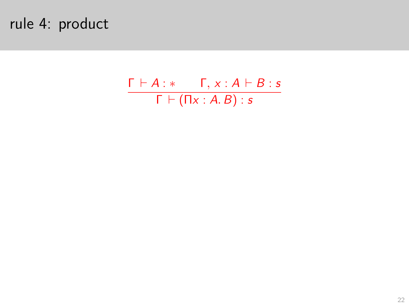# rule 4: product

 $\frac{\Gamma\vdash A:*- \Gamma, x:A\vdash B:s}{\Gamma\vdash (\Pi x:A.B):s}$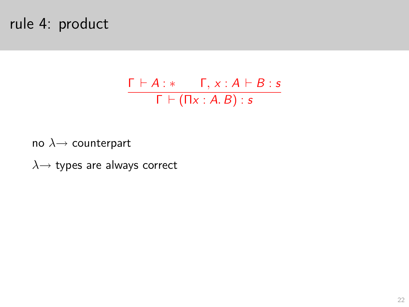# rule 4: product

$$
\frac{\Gamma \vdash A : * \qquad \Gamma, x : A \vdash B : s}{\Gamma \vdash (\Pi x : A. B) : s}
$$

no  $\lambda \rightarrow$  counterpart

 $\lambda \rightarrow$  types are always correct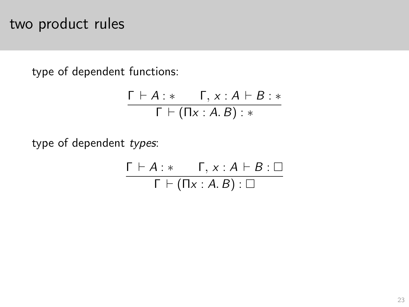# two product rules

type of dependent functions:

$$
\frac{\Gamma \vdash A : * \qquad \Gamma, x : A \vdash B : *}{\Gamma \vdash (\Pi x : A.B) : *}
$$

type of dependent types:

$$
\frac{\Gamma \vdash A : * \qquad \Gamma, x : A \vdash B : \Box}{\Gamma \vdash (\Pi x : A.B) : \Box}
$$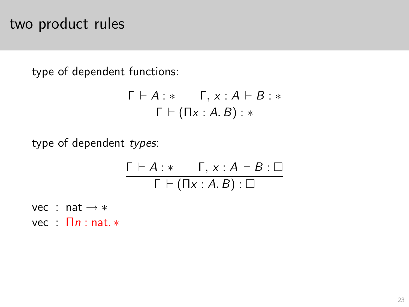### two product rules

type of dependent functions:

$$
\frac{\Gamma \vdash A : * \qquad \Gamma, x : A \vdash B : *}{\Gamma \vdash (\Pi x : A.B) : *}
$$

type of dependent types:

$$
\frac{\Gamma \vdash A : * \qquad \Gamma, x : A \vdash B : \Box}{\Gamma \vdash (\Pi x : A.B) : \Box}
$$

vec : nat → ∗  $vec : \Pi n : \text{nat.*}$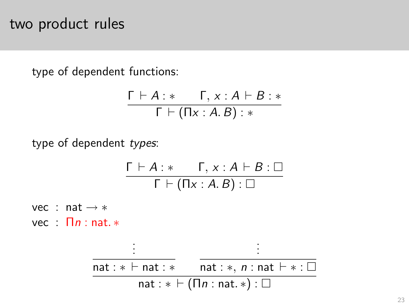### two product rules

type of dependent functions:

$$
\frac{\Gamma \vdash A : * \qquad \Gamma, x : A \vdash B : *}{\Gamma \vdash (\Pi x : A.B) : *}
$$

type of dependent types:

$$
\frac{\Gamma \vdash A : * \qquad \Gamma, x : A \vdash B : \Box}{\Gamma \vdash (\Pi x : A.B) : \Box}
$$

vec : nat → ∗  $vec : \Pi n : \text{nat.*}$ 

$$
\frac{\vdots}{\text{nat}: * \vdash \text{nat}: *}
$$
\n
$$
\frac{\vdots}{\text{nat}: * \vdash (\text{In n at } * \cdot) : \Box}
$$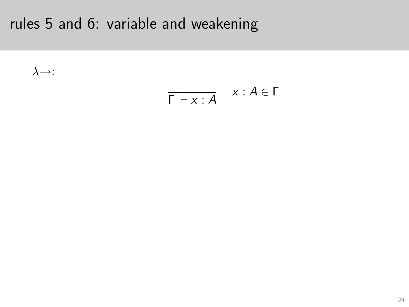$\lambda \rightarrow$ :

$$
\overline{\Gamma \vdash x : A} \quad x : A \in \Gamma
$$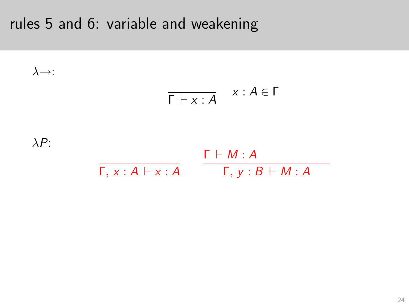$$
\lambda \rightarrow:
$$
\n
$$
\begin{array}{ccc}\n\overline{\Gamma \vdash x : A} & x : A \in \Gamma \\
\lambda P: & & \\
\overline{\Gamma, x : A \vdash x : A} & \overline{\Gamma, y : B \vdash M : A}\n\end{array}
$$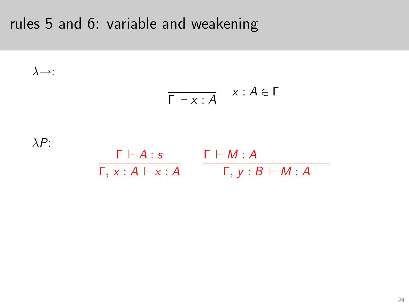$$
\lambda \rightarrow:
$$
\n
$$
\begin{array}{ccc}\n\overline{\Gamma \vdash x : A} & x : A \in \Gamma \\
\downarrow \lambda P:\n\end{array}
$$
\n
$$
\begin{array}{ccc}\n\overline{\Gamma \vdash A : s} & \Gamma \vdash M : A \\
\overline{\Gamma, x : A \vdash x : A} & \Gamma, y : B \vdash M : A\n\end{array}
$$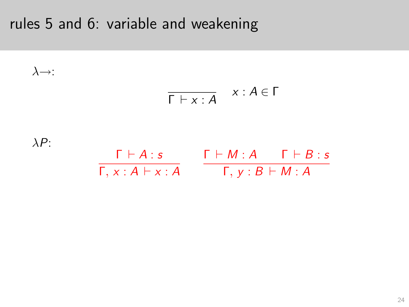$$
\lambda \rightarrow:
$$
\n
$$
\begin{array}{ccc}\n\overline{\Gamma \vdash x:A} & x:A \in \Gamma \\
\downarrow \lambda P:\n\end{array}
$$
\n
$$
\begin{array}{ccc}\n\overline{\Gamma \vdash A:s} & \Gamma \vdash M:A & \Gamma \vdash B:s \\
\overline{\Gamma, x:A \vdash x:A} & \overline{\Gamma, y:B \vdash M:A}\n\end{array}
$$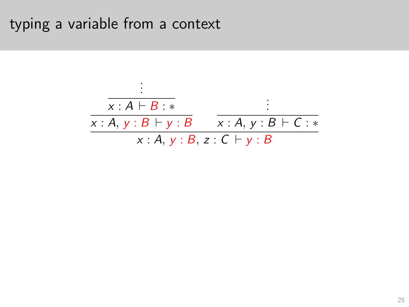## typing a variable from a context

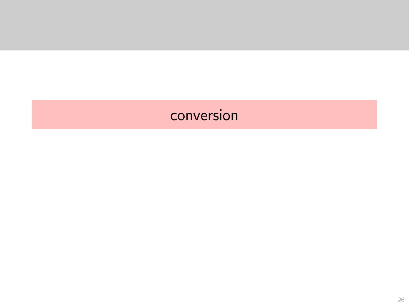# <span id="page-63-0"></span>conversion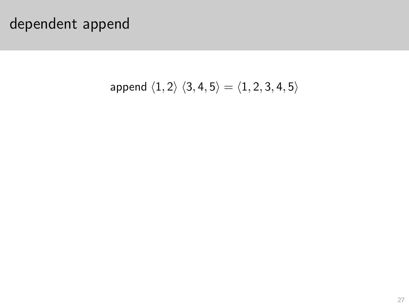$$
\mathsf{append}\,\,\langle 1,2\rangle\,\,\langle 3,4,5\rangle=\langle 1,2,3,4,5\rangle
$$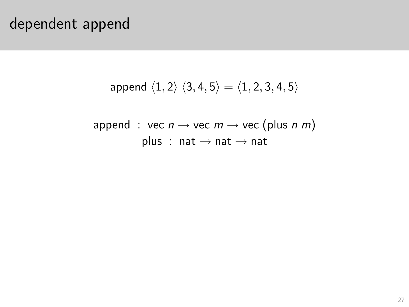append  $\langle 1, 2\rangle$   $\langle 3, 4, 5\rangle = \langle 1, 2, 3, 4, 5\rangle$ 

$$
\mathsf{append} : \mathsf{vec} \; n \to \mathsf{vec} \; m \to \mathsf{vec} \; (\mathsf{plus} \; n \; m)
$$
\n
$$
\mathsf{plus} : \; \mathsf{nat} \to \mathsf{nat} \to \mathsf{nat}
$$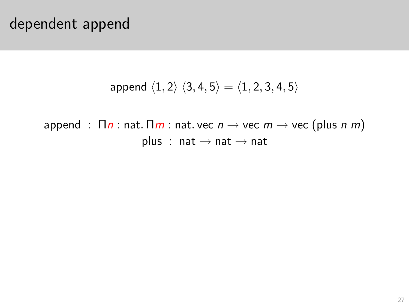append  $\langle 1, 2\rangle$   $\langle 3, 4, 5\rangle = \langle 1, 2, 3, 4, 5\rangle$ 

append :  $\prod n$  : nat.  $\prod m$  : nat. vec  $n \rightarrow$  vec  $m \rightarrow$  vec (plus n m) plus : nat  $\rightarrow$  nat  $\rightarrow$  nat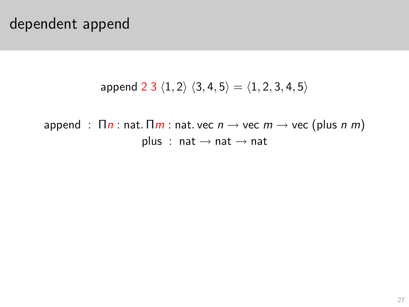append 2 3  $\langle 1, 2 \rangle$   $\langle 3, 4, 5 \rangle = \langle 1, 2, 3, 4, 5 \rangle$ 

append :  $\prod n$  : nat.  $\prod m$  : nat. vec  $n \rightarrow$  vec  $m \rightarrow$  vec (plus n m) plus : nat  $\rightarrow$  nat  $\rightarrow$  nat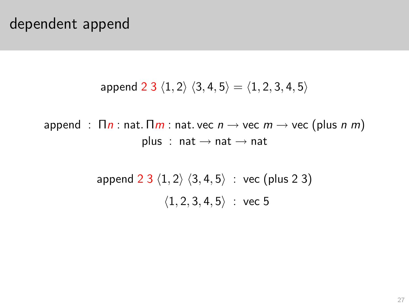append 2 3  $\langle 1, 2 \rangle$   $\langle 3, 4, 5 \rangle = \langle 1, 2, 3, 4, 5 \rangle$ 

append :  $\prod n$  : nat.  $\prod m$  : nat. vec  $n \rightarrow$  vec  $m \rightarrow$  vec (plus n m) plus : nat  $\rightarrow$  nat  $\rightarrow$  nat

> append  $2 \frac{3}{1, 2} \langle 3, 4, 5 \rangle$  : vec (plus 2 3)  $\langle 1, 2, 3, 4, 5 \rangle$  : vec 5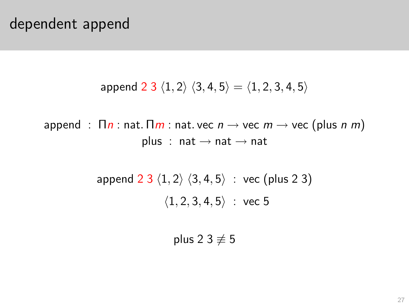append 2 3  $\langle 1, 2 \rangle$   $\langle 3, 4, 5 \rangle = \langle 1, 2, 3, 4, 5 \rangle$ 

append :  $\prod n$  : nat.  $\prod m$  : nat. vec  $n \rightarrow$  vec  $m \rightarrow$  vec (plus n m) plus : nat  $\rightarrow$  nat  $\rightarrow$  nat

> append  $2 \frac{3}{1, 2} \langle 3, 4, 5 \rangle$  : vec (plus 2 3)  $\langle 1, 2, 3, 4, 5 \rangle$  : vec 5

> > plus 2 3  $\neq$  5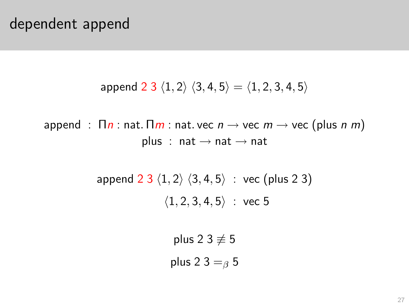append 2 3  $\langle 1, 2 \rangle$   $\langle 3, 4, 5 \rangle = \langle 1, 2, 3, 4, 5 \rangle$ 

append :  $\prod n$  : nat.  $\prod m$  : nat. vec  $n \rightarrow$  vec  $m \rightarrow$  vec (plus n m) plus : nat  $\rightarrow$  nat  $\rightarrow$  nat

> append  $2 \frac{3}{1, 2} \langle 3, 4, 5 \rangle$  : vec (plus 2 3)  $\langle 1, 2, 3, 4, 5 \rangle$  : vec 5

> > plus 2 3  $\neq$  5 plus 2 3  $=$ <sub>β</sub> 5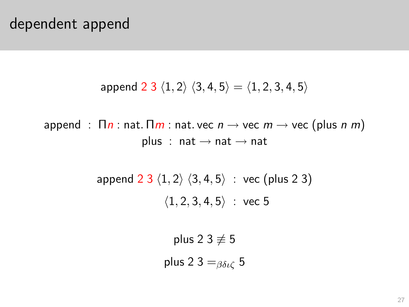append 2 3  $\langle 1, 2 \rangle$   $\langle 3, 4, 5 \rangle = \langle 1, 2, 3, 4, 5 \rangle$ 

append :  $\prod n$  : nat.  $\prod m$  : nat. vec  $n \rightarrow$  vec  $m \rightarrow$  vec (plus n m) plus : nat  $\rightarrow$  nat  $\rightarrow$  nat

> append  $2 \frac{3}{1, 2} \langle 3, 4, 5 \rangle$  : vec (plus 2 3)  $\langle 1, 2, 3, 4, 5 \rangle$  : vec 5

> > plus 2 3  $\neq$  5 plus 2 3 =  $\beta_{\delta\iota\zeta}$  5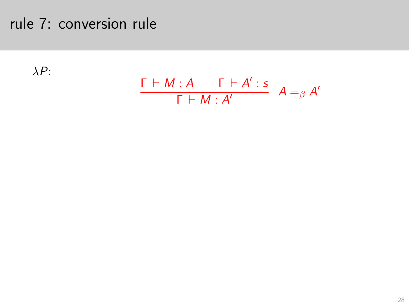### rule 7: conversion rule

λP:

$$
\frac{\Gamma \vdash M : A \qquad \Gamma \vdash A' : s}{\Gamma \vdash M : A'} \quad A =_{\beta} A'
$$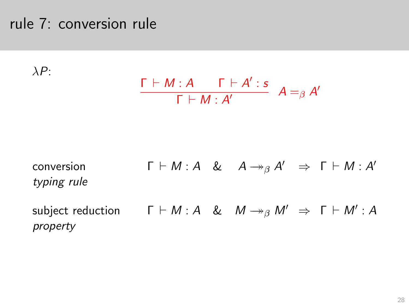#### rule 7: conversion rule

 $\lambda P$ :

$$
\frac{\Gamma \vdash M : A \qquad \Gamma \vdash A' : s}{\Gamma \vdash M : A'} \quad A =_{\beta} A'
$$

conversion  $\Gamma \vdash M : A \& A \rightarrow_{\beta} A' \Rightarrow \Gamma \vdash M : A'$ typing rule subject reduction  $\Gamma \vdash M : A \And M \rightarrow_{\beta} M' \Rightarrow \Gamma \vdash M' : A$ property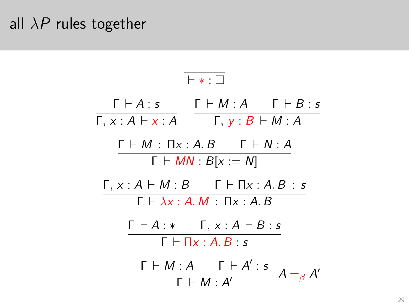#### all  $\lambda P$  rules together

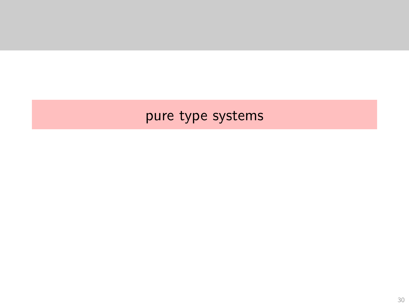#### <span id="page-75-0"></span>pure type systems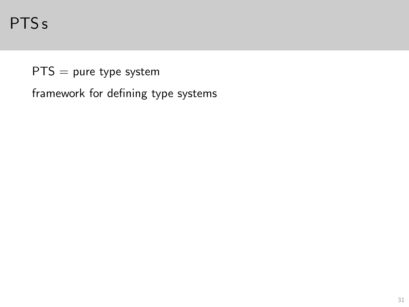PTSs

 $PTS = pure type system$ 

framework for defining type systems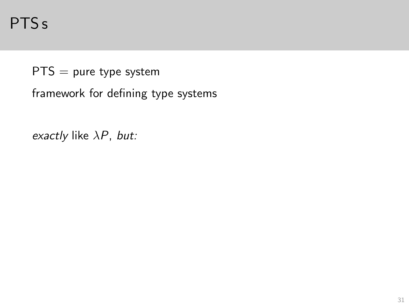PTS s

 $PTS = pure type system$ 

framework for defining type systems

exactly like  $\lambda P$ , but: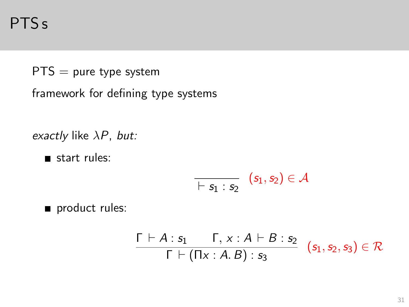PTS s

 $PTS = pure type system$ 

framework for defining type systems

exactly like  $\lambda P$ , but:

start rules:

$$
\overline{\qquad \quad \, \vdash s_1:s_2} \quad (s_1,s_2) \in \mathcal{A}
$$

product rules:

$$
\frac{\Gamma \vdash A : s_1 \qquad \Gamma, x : A \vdash B : s_2}{\Gamma \vdash (\Pi x : A.B) : s_3} \quad (s_1, s_2, s_3) \in \mathcal{R}
$$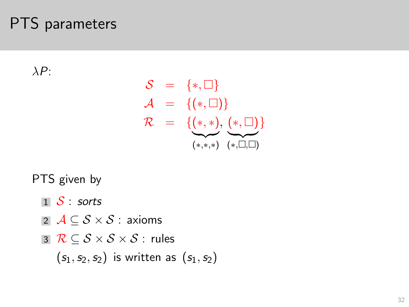### PTS parameters

 $\lambda P$ :

$$
S = \{*, \square\}
$$
  
\n
$$
A = \{(*, \square)\}
$$
  
\n
$$
R = \{\underline{(*, *), (\underline{(*, \square})}\}
$$
  
\n
$$
\overbrace{(*, *), (\underline{*, \square})}^{(*, \square)}
$$

PTS given by

- $1 \mathcal{S}$  sorts
- 2  $\mathcal{A} \subseteq \mathcal{S} \times \mathcal{S}$  : axioms
- 3  $\mathcal{R} \subset \mathcal{S} \times \mathcal{S} \times \mathcal{S}$ : rules

 $(s_1, s_2, s_2)$  is written as  $(s_1, s_2)$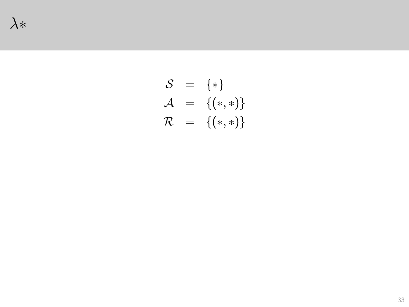$$
S = {*\}\nA = {(*,*)}\nR = {(*,*)}
$$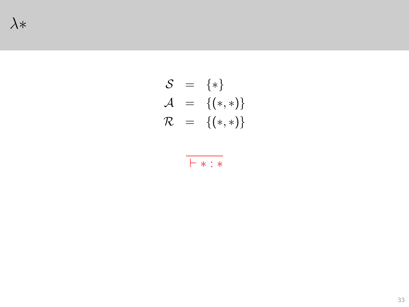$$
S = {*\}\mathcal{A} = {(*,*)}\mathcal{R} = {(*,*)}
$$

$$
\vdash * : *
$$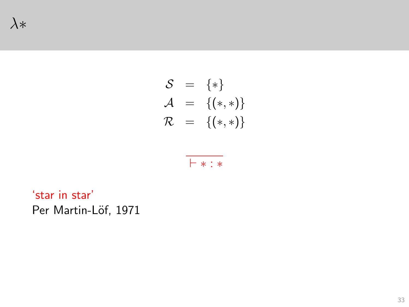$$
\begin{array}{rcl} \mathcal{S} & = & \{ * \} \\ \mathcal{A} & = & \{ (*, *) \} \\ \mathcal{R} & = & \{ (*, *) \} \end{array}
$$

$$
\vdash * : *
$$

'star in star' Per Martin-Löf, 1971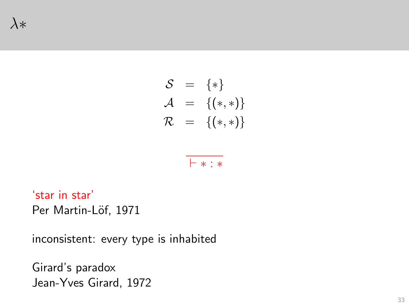$$
S = {*\}\mathcal{A} = {(*,*)}\mathcal{R} = {(*,*)}
$$

⊢ ∗ : ∗

'star in star' Per Martin-Löf, 1971

inconsistent: every type is inhabited

Girard's paradox Jean-Yves Girard, 1972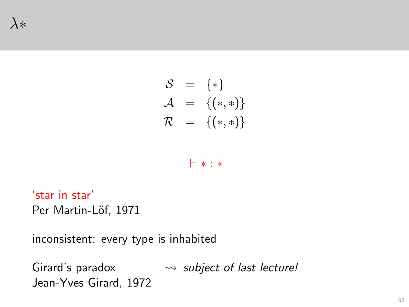$$
S = {*\}\mathcal{A} = {(*,*)}\mathcal{R} = {(*,*)}
$$

$$
\vdash * : *
$$

'star in star' Per Martin-Löf, 1971

inconsistent: every type is inhabited

Girard's paradox  $\rightsquigarrow$  subject of last lecture! Jean-Yves Girard, 1972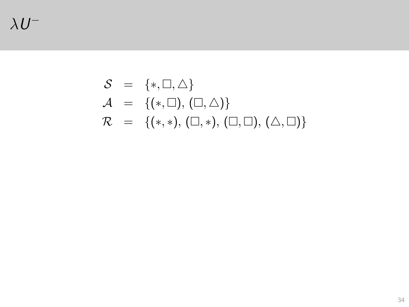$\lambda U^{-}$ 

### $S = \{*, \square, \triangle\}$  $\mathcal{A} = \{(*,\square),(\square,\triangle)\}\$  $\mathcal{R} = \{(*, *), (\Box, *) , (\Box, \Box), (\triangle, \Box) \}$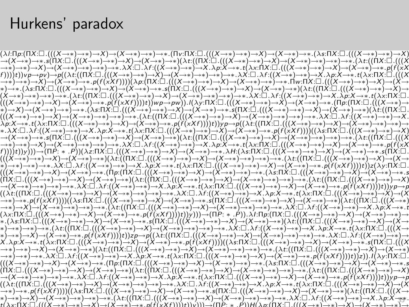#### Hurkens' paradox

 $(\lambda ! \cdot \Pi p: (\Pi X: \Box \cdot (((X \rightarrow *) \rightarrow *) \rightarrow *) \rightarrow X) \rightarrow (X \rightarrow *) \rightarrow *) \rightarrow * ((\Pi v: \Pi X: \Box \cdot (((X \rightarrow *) \rightarrow *) \rightarrow X) \rightarrow (X \rightarrow *) \rightarrow * .(\lambda s: \Pi X: \Box \cdot (((X \rightarrow *) \rightarrow *) \rightarrow X)$  $\rightarrow\ast) \rightarrow\ast) \rightarrow X) \rightarrow (X \rightarrow\ast) \rightarrow\ast) \rightarrow\ast) \rightarrow\ast \lambda X: \Box \lambda f: ((X \rightarrow\ast) \rightarrow\ast) \rightarrow X. \lambda p: X \rightarrow\ast ( \lambda x: \Box \lambda ((X \rightarrow\ast) \rightarrow\ast) \rightarrow X) \rightarrow (X \rightarrow\ast) \rightarrow\ast p(f(X \wedge \lambda x: \Box \lambda x: \Box \lambda x: \Box \lambda x: \Box \lambda x: \Box \lambda x: \Box \lambda x: \Box \lambda x: \Box \lambda x: \Box \lambda x: \Box \lambda x: \Box \lambda x: \Box \lambda x: \Box \lambda x: \Box \lambda x: \Box \lambda x: \Box \lambda x: \Box \lambda$  $(f)))({\bf r})\vee p\to p\nu)\to p((\lambda\,t^{\cdot}((\Pi\dot X\cdot\Box\cdot(((X\to *)\to *)\to *)\to \lambda)\to (\lambda\to *)\to *)\to *)\to *)\to *)\to X.\lambda\,t^{\cdot}((X\to *)\to *)\to *)\to X.\lambda\,p:X\to *_*t(\lambda\,x\cdot\Box\cdot((X\to *)\to *)\to *)\to *\star)\to *_*t(\lambda\,x\cdot\Box\cdot((X\to *)\to *)\to *)\to *\star)\to *_*t(\lambda\,x\cdot\Box\cdot((X\to *)\to *)\to *)\to *\star)\to *_*t(\lambda\,x\cdot\Box\cdot((X\to$ \*) → \* ( Xs: ΠΧ: □ ,(((X → \*) → \*) → X) → ( X → \*) → \* . s(ΠΧ: □ ,(((X → \*) → \*) → X) → (X → \*) → \*) → X) → \* (((X → \*) → \*) → X)  $(X \to *) \to *) \to *(\lambda t.((\Pi X;\Box\;(((X \to *) \to *) \to X) \to (X \to *) \to *) \to *) \to *(\lambda x.(\Box\; \lambda t.((X \to *) \to *) \to *) \to X.\lambda p. X \to * \;t(\lambda x.(\Pi X;\Box\;$  $(((X \rightarrow *) \rightarrow *) \rightarrow X) \rightarrow (X \rightarrow *) \rightarrow * .$ p $(\hat{f}(xXf))$ t))t)pyp $\rightarrow$ pw). $I(\lambda y: \Pi X: \Box$ . $(((X \rightarrow *) \rightarrow *) \rightarrow X) \rightarrow (X \rightarrow *) \rightarrow * .$  [Пр: (П $X: \Box$ .)( $((X \rightarrow *) \rightarrow *) \rightarrow *$  $(((X \to *) \to *) \to X) \to (X \to *) \to *) \to *) \to *( \lambda t: ((\Pi X \cdot \Box_{\cdot}((X \to *) \to *) \to *) \to \lambda) \to (X \to *) \to *) \to *) \to *) \to * \lambda X: \Box_{\cdot} \lambda t: ((X \to *) \to *) \to X.$  $\lambda p:X\rightarrow * .t(\lambda x:\Pi X:\Pi .((X\rightarrow *)\rightarrow *)\rightarrow X)\rightarrow (X\rightarrow *)\rightarrow * .p(\widetilde{f}(xXf)))(t))$ y $p\rightarrow p((\lambda t:(\Pi X:\Pi .((X\rightarrow *)\rightarrow *)\rightarrow X)\rightarrow (X\rightarrow *)\rightarrow *)\rightarrow *)$ \*.  $\lambda X:\Box$  .  $\lambda f:((X\to *)\to *)\to X$ .  $\lambda p: X\to *$ .  $t(\lambda x:\Box X:\Box$   $(((X\to *)\to *)\to X)\to (X\to *)\to *p(f(XXf))))((\lambda s:\Box X:\Box)((X\to *)\to *)\to X)$  $\rightarrow$   $(X \rightarrow *) \rightarrow *$  ,  $\epsilon$  (  $\Pi X$  :  $\square$  . (  $((X \rightarrow *) \rightarrow * ) \rightarrow X) \rightarrow (X \rightarrow *) \rightarrow * )$   $(X \cdot \square$  . (  $((X \rightarrow *) \rightarrow * ) \rightarrow * ) \rightarrow (X \rightarrow *) \rightarrow * ) \rightarrow * ) \rightarrow * .$  )  $(X \cdot \square$  . ( (  $(\Pi X \cdot \square$  . (  $((X \cdot \square)(X \cdot \square)(X \cdot \square)) \rightarrow * ) \rightarrow * )$  $\rightarrow\rightarrow\rightarrow\rightarrow\rightarrow\rightarrow X\rightarrow\rightarrow X\rightarrow\rightarrow\rightarrow\rightarrow\rightarrow\rightarrow\rightarrow X$  .  $\lambda X:\Box$  .  $\lambda f:\left((X\rightarrow\rightarrow)-X\land\rho:X\rightarrow\rightarrow(X\land\gamma)\Box$  .  $\left((X\rightarrow\rightarrow)-X\rightarrow\rightarrow(X\rightarrow\gamma)\rightarrow X\rightarrow\gamma\Box\right)\rightarrow\rightarrow(X\rightarrow\gamma)\rightarrow\rightarrow(X\rightarrow\gamma)\rightarrow\rightarrow(X\rightarrow\gamma)\rightarrow\rightarrow(X\rightarrow\gamma)\rightarrow\rightarrow(X\rightarrow\gamma)\rightarrow\rightarrow(X\rightarrow\gamma)\rightarrow\rightarrow(X\rightarrow\gamma)\rightarrow\rightarrow(X\rightarrow\gamma)\rightarrow\rightarrow(X\rightarrow\gamma)\rightarrow\rightarrow(X\rightarrow\gamma)\rightarrow\rightarrow(X\rightarrow\gamma)\rightarrow\rightarrow(X\rightarrow\gamma$  $f))(\hat{y}(\hat{y})\mapsto((\Pi\dot{P};\ast\cdot\dot{P})(\lambda z;\Pi X;\Box\cdot(((X\to\ast\to\ast)\to X)\to(X\to\ast\to\ast\cdot\lambda H;(\lambda z;\Pi X;\Box\cdot(((\ddot{X}\to\ast)\to X)\to(X\to\ast)\to\ast\cdot s(\Pi X;\Box\cdot$  $(((X\rightarrow *)\rightarrow *)\rightarrow x)\rightarrow (X\rightarrow *)\rightarrow *)((\lambda *)(\Pi X:\Box\ (((X\rightarrow *)\rightarrow *)\rightarrow *)\rightarrow x)\rightarrow (X\rightarrow *)\rightarrow *)\rightarrow *)\rightarrow *(\lambda *((\Pi X:\Box\ ((X\rightarrow *)\rightarrow *)\rightarrow x)\rightarrow (X\rightarrow *)\rightarrow x))\rightarrow ((X\rightarrow *)\rightarrow *)\rightarrow x)$  $\stackrel{\sim}{\ast}\stackrel{\sim}{\rightarrow}\ast\stackrel{\sim}{\rightarrow}\ast\stackrel{\sim}{\rightarrow}\ast\stackrel{\sim}{\lambda}X:\stackrel{\sim}{\Box}\lambda f:\stackrel{(\chi\rightarrow\ast)}{\rightarrow}\rightarrow\stackrel{\sim}{\rightarrow}\rightarrow X.\lambda p:X\rightarrow\ast\stackrel{\star}{\iota}(Xx:\Pi X:\stackrel{\sim}{\Box}\dot{(\langle(X\rightarrow\ast)\rightarrow\ast)}\rightarrow X)\rightarrow (X\rightarrow\ast\stackrel{\sim}{\rightarrow}\ast)\rightarrow\ast\stackrel{\sim}{\rho}(f(xxf)))\stackrel{\star}{t}))z(\lambda y:\Pi X:\stackrel{\sim}{\Box}.$  $(((X \rightarrow *) \rightarrow *) \rightarrow X) \rightarrow (X \rightarrow *) \rightarrow *$   $(\Pi p.(\Pi X: \Box).(((X \rightarrow *) \rightarrow *) \rightarrow X) \rightarrow (X \rightarrow *) \rightarrow *) \rightarrow *).(\lambda z: \Pi \dot{X}: \Box .(((X \rightarrow *) \rightarrow *) \rightarrow X) \rightarrow (X \rightarrow *) \rightarrow * \dots *$  $\overrightarrow{(n)}X:\square\cdot ((X\rightarrow *)\rightarrow *)\rightarrow X)\rightarrow (X\rightarrow *)\rightarrow *(A:\overrightarrow{(n)}X:\square\cdot (((X\rightarrow *)\rightarrow *)\rightarrow *)\rightarrow X)\rightarrow (X\rightarrow *)\rightarrow *)\rightarrow *)\rightarrow *)\rightarrow *^*(\lambda t:(nX:\square\cdot (((X\rightarrow *)\rightarrow *)\rightarrow X)\rightarrow X)\rightarrow X)$  $\rightarrow$   $(X\rightarrow *)\rightarrow *)\rightarrow *$  .  $\lambda X:\Box$  .  $\lambda f:\left((X\rightarrow *)\rightarrow * \right)\rightarrow X$  .  $\lambda p:X\rightarrow *$  .  $t(\lambda x:\Pi X:\Box$  .  $((X\rightarrow *)\rightarrow *)\rightarrow X)\rightarrow (\lambda^* \rightarrow *)\rightarrow *$  .  $p(f(XXf)))(t))\gamma p\rightarrow p$  $((\lambda t.((\Pi \dot{X}:\Box\cdot((X\to *)\to *)\to X)\to(X\to *)\to *)\to *)\to *)\to *\lambda X:\Box\cdot\lambda f.((X\to *)\to *)\to *)\to X\cdot\lambda p:X\to * \cdot t(\lambda x.\Pi X:\Box\cdot((X\to *)\to *)\to X)\to (X\to *)\to *\lambda p$ →\*)→\*.p(f(xXf))))((λs:fIX:□.(((X→\*)→\*)→X)→(X→\*)→\*.s(ΠX:□.(((X→\*)→\*)→X)→(X→\*)→\*)(λt:((fIX:□.(((X→\*)  $\rightarrow *)$   $\rightarrow X$   $\rightarrow$   $(X \rightarrow *)$   $\rightarrow *)$   $\rightarrow$   $\rightarrow$   $\lambda$   $\iota$ ; (( $\Pi X$  ;  $\Box$  ,((( $X \rightarrow *)$   $\rightarrow x$  )  $\rightarrow$   $(X \rightarrow *)$   $\rightarrow$   $\ast$  )  $\rightarrow$   $*$   $\lambda X$  ;  $\Box$  .  $\lambda f$  ; (( $X \rightarrow *)$   $\rightarrow$   $X$  .  $\lambda p$  : $X \rightarrow *$  .  $i$  $(\lambda x \cdot \overleftarrow{\Pi} X \cdot \overleftarrow{\Box} . ((X \to *) \to *) \to *) \to (\lambda \to *) \to * \rho(\overrightarrow{f}(x X f)))(t)) \to (\Pi \overleftarrow{P} : * \ . \ \overrightarrow{P}) ). \lambda I \cdot \Pi \rho : (\Pi X \cdot \overleftarrow{\Box} . ((X \to *) \to *) \to \lambda) \to (X \to *) \to *) \to *)$ \*. (\\n\;\[\]\(((X->\*)->\*)->X)->(X->\*)->\*.s(\[|X:\_[].(((X-->\*)->\*)->X)--(X-+\*)->\*)(\\r.\[(|X:\_[].(((X-->\*)-->X)--(X-\*) → \*) → \*) → \* ( At:((NX:(I\_X((X → \*) → \*) → x) → (X → \*) → \*) → \* . -> \*) → \* .  $\lambda$ X: (,(X → \*) → \*) → \*) → X .  $\lambda p$ : X → \* . t( $\lambda$ x: [I\_X:((X → \*) → \*) . [((X → \*)->\*)->X)--)(X->\*)->\*.p(f(xXf))))t))zp->p(( $\lambda$ t:(( $\Pi X$ : $\Box$ .(( $X \rightarrow$ \*)->\*)-->X)--) $\lambda$ )-->\*)--\*)--\*. $\lambda X$ : $\Box$ . $\lambda$ f:(( $X \rightarrow$ \*)--\*)- $X.\lambda p:X\to *$  , t (  $\lambda x:\Pi X:\Box$  ( ( (  $(X\to * )\to * )\to X) \to (X\to * )\to *$  ,  $p(f(XXf)))((\lambda s:\Pi X:\Box_1)((X\to * )\to * )\to X)\to (X\to * )\to *$  ,  $s(\Pi X:\Box_1)((X\to * )\to * )\to *$  $\rightarrow *) \rightarrow * ) \rightarrow X) \rightarrow (X \rightarrow *) \rightarrow * )(\lambda i:((\Pi X:\Box .((X \rightarrow *) \rightarrow *) \rightarrow *) \rightarrow X) \rightarrow (X \rightarrow *) \rightarrow * ) \rightarrow * ) \rightarrow * .(\lambda i:((\Pi X:\Box .(((X \rightarrow *) \rightarrow *) \rightarrow *) \rightarrow X) \rightarrow (X \rightarrow *)$ →\*)→\*)→\*. $\lambda X: \Box$  . $\lambda f: ((X\to *) \to *)$   $\to X$  . $\lambda p: X \to *$  .  $t(\lambda x: \Pi X: \Box \cdot ((X\to *) \to *) \to X) \to (X\to *) \to *$  .  $\rho(f(xXf)))(t)(z)$  .  $l(\lambda y: \Pi X: \Box'$  $(((X \rightarrow *) \rightarrow *) \rightarrow X) \rightarrow (X \rightarrow *) \rightarrow * ( \Pi p: (\Pi X: \Box \cdot ((X \rightarrow *) \rightarrow *) \rightarrow *) \rightarrow () \rightarrow (X \rightarrow *) \rightarrow *) \rightarrow * (As: \Pi X: \Box \cdot (((X \rightarrow *) \rightarrow *) \rightarrow () \rightarrow (X \rightarrow *) \rightarrow * ) \rightarrow * \rightarrow * \rightarrow *$  $\overleftrightarrow{\Pi}X:\Box((X\rightarrow *)\rightarrow *)\rightarrow X)\rightarrow (X\rightarrow *)\rightarrow *( \lambda t:(\overleftrightarrow{\Pi}X:\Box)((X\rightarrow *)\rightarrow *)\rightarrow X)\rightarrow (X\rightarrow *)\rightarrow *)\rightarrow *)\rightarrow *(\lambda t:(\overleftrightarrow{\Pi}X:\Box)((X\rightarrow *)\rightarrow *)\rightarrow X)\rightarrow X$  $\hat{\lambda}(X \to \hat{x}) \to * \hat{\lambda}$   $\to * \hat{\lambda}$   $\hat{\lambda}$  :  $\Box$  .  $\lambda f: ((X \to \hat{x}) \to \hat{x}) \to X$  .  $\lambda p: X \to *$  .  $t(\lambda x: \Box X: \Box \cdot ((X \to \hat{x}) \to \hat{x}) \to \hat{X}) \to (\hat{X} \to * \hat{x}) \to *$  .  $p(\hat{t}(x X f)))(t)(y \to \hat{t}$  $((\lambda t.((\Pi X.\Box\cdot ((X \to *) \to *) \to X) \to (X \to *) \to *) \to *) \to *) \to *(\Delta X.\Box\cdot X.((X \to *) \to *) \to *) \to *(\Delta X.\Box X \cdot \Box\cdot X.((X \to *) \to *) \to *) \to X) \to (X \to *) \to *(\Delta X.\Box\cdot X.((X \to *) \to *) \to *) \to *(\Delta X.\Box\cdot X.((X \to *) \to *) \to *) \to *(\Delta X.\Box\cdot X.((X \to *) \to *) \to *) \to *(\Delta X.\Box\cdot X.((X \to *) \to *) \to *) \to *(\Delta X.\Box\cdot X.((X \to *) \to *) \to *) \to$  $\rightarrow\rightarrow\rightarrow\rightarrow p(f(xXf)))((\lambda s.\Pi X.\Box)((X\rightarrow\ast)\rightarrow\ast)\rightarrow X)\rightarrow (X\rightarrow\ast)\rightarrow\cdot s(\Pi X.\Box((X\rightarrow\ast)\rightarrow\ast)\rightarrow X)\rightarrow (X\rightarrow\ast)\rightarrow\ast)(\lambda t.((\Pi X.\Box)((X\rightarrow\ast)\rightarrow X)\rightarrow X)\rightarrow X)$ \*)->\*)->X)->(X->\*)->\*)->\*)->\*,(Xt:((IX:I).(((X->\*)->\*)->X)->(X->\*)->\*)->\*)->\*,(Xt:((X->\*)->\*)--\*)-X.(xp:X-3+\*  $\tau(A \vee \Pi \vee \Pi'(I(X \to Y \to Y \to Y \to X' \to Y' \to Y' \to Y' \to Y' \to Y' \to Y'))$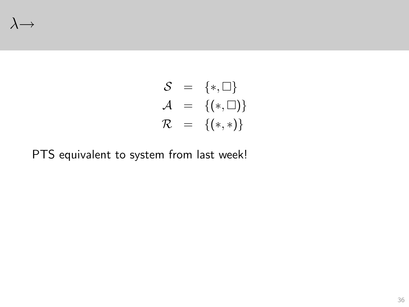#### $\lambda \rightarrow$

$$
\begin{array}{rcl} \mathcal{S} & = & \{*, \square\} \\ \mathcal{A} & = & \{(*, \square)\} \\ \mathcal{R} & = & \{(*,*)\} \end{array}
$$

PTS equivalent to system from last week!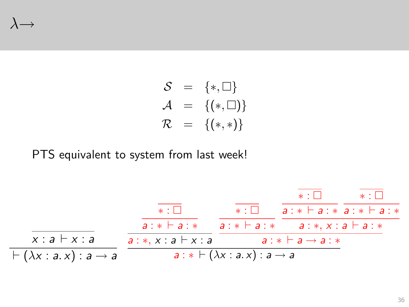#### $\lambda \rightarrow$

$$
\begin{array}{rcl} \mathcal{S} & = & \{*, \square\} \\ \mathcal{A} & = & \{(*, \square)\} \\ \mathcal{R} & = & \{(*,*)\} \end{array}
$$

PTS equivalent to system from last week!

x : a ⊢ x : a ⊢ (λx : a. x) : a → a ∗ : a : ∗ ⊢ a : ∗ a : ∗, x : a ⊢ x : a ∗ : a : ∗ ⊢ a : ∗ ∗ : a : ∗ ⊢ a : ∗ ∗ : a : ∗ ⊢ a : ∗ a : ∗, x : a ⊢ a : ∗ a : ∗ ⊢ a → a : ∗ a : ∗ ⊢ (λx : a. x) : a → a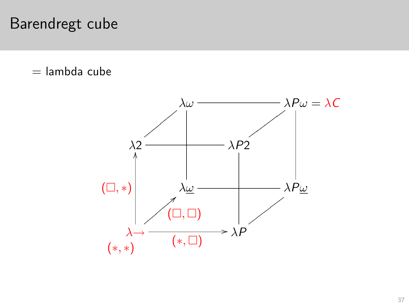### Barendregt cube

 $=$  lambda cube

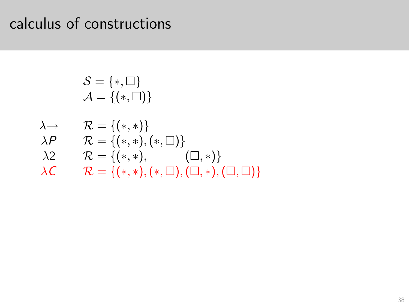S = {∗, } A = {(∗, )} λ→ R = {(∗, ∗)} λP R = {(∗, ∗),(∗, )} λ2 R = {(∗, ∗), (, ∗)} λC R = {(∗, ∗),(∗, ),(, ∗),(, )}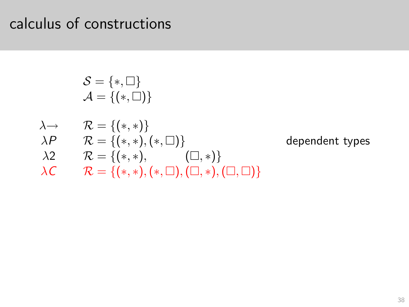$$
\mathcal{S} = \{*, \square\}
$$
\n
$$
\mathcal{A} = \{(*, \square)\}
$$
\n
$$
\lambda \rightarrow \qquad \mathcal{R} = \{(*,*)\}
$$
\n
$$
\lambda P \qquad \mathcal{R} = \{(*,*), (*, \square)\}
$$
\n
$$
\lambda 2 \qquad \mathcal{R} = \{(*,*), \qquad (\square, *)\}
$$
\n
$$
\lambda C \qquad \mathcal{R} = \{(*,*), (*, \square), (\square, *), (\square, \square)\}
$$

dependent types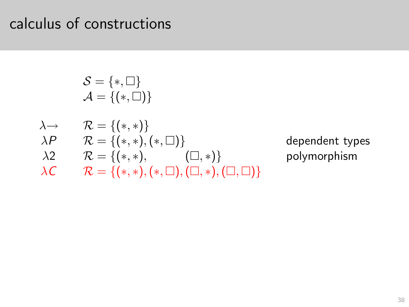$$
\mathcal{S} = \{*, \Box\}
$$
\n
$$
\mathcal{A} = \{(*, \Box)\}
$$
\n
$$
\lambda \rightarrow \mathcal{R} = \{(*,*)\}
$$
\n
$$
\lambda P \mathcal{R} = \{(*,*)\}
$$
\n
$$
\lambda P \mathcal{R} = \{(*,*), (*, \Box)\}
$$
\n
$$
\lambda 2 \mathcal{R} = \{(*,*), \qquad (\Box, *)\}
$$
\n
$$
\lambda C \mathcal{R} = \{(*,*), (*, \Box), (\Box, *), (\Box, \Box)\}
$$

dependent types polymorphism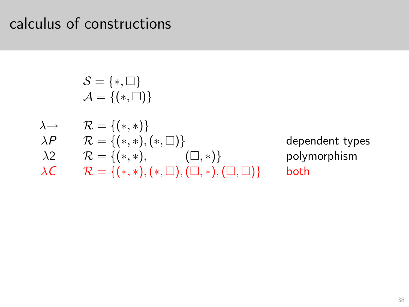$$
\begin{aligned} \mathcal{S} &= \{*, \square\} \\ \mathcal{A} &= \{(*, \square)\} \\ \lambda &\rightarrow & \mathcal{R} &= \{(*,*)\} \\ \lambda P & \mathcal{R} &= \{(*,*),(*, \square)\} \\ \lambda 2 & \mathcal{R} &= \{(*,*), & (\square,*)\} \\ \lambda C & \mathcal{R} &= \{(*,*),(*, \square), (\square, *), (\square, \square)\} \end{aligned} \quad \begin{aligned} \text{deep} \\ \text{poly} \\ \text{poly} \\ \text{both} \end{aligned}
$$

dependent types polymorphism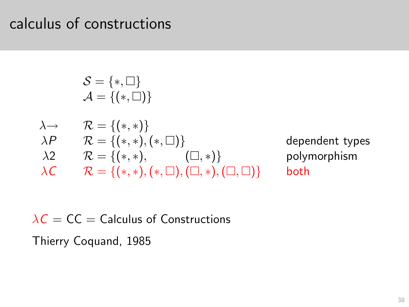$$
\begin{aligned} \mathcal{S} &= \{*, \square\} \\ \mathcal{A} &= \{(*, \square)\} \\ \lambda &\rightarrow & \mathcal{R} &= \{(*,*)\} \\ \lambda P & \mathcal{R} &= \{(*,*),(*, \square)\} \\ \lambda 2 & \mathcal{R} &= \{(*,*), & (\square,*)\} \\ \lambda C & \mathcal{R} &= \{(*,*),(*, \square), (\square, *), (\square, \square)\} \end{aligned} \quad \begin{aligned} \text{deep} \\ \text{poly} \\ \text{poly} \\ \text{both} \end{aligned}
$$

dependent types polymorphism

 $\lambda C = CC$  = Calculus of Constructions

Thierry Coquand, 1985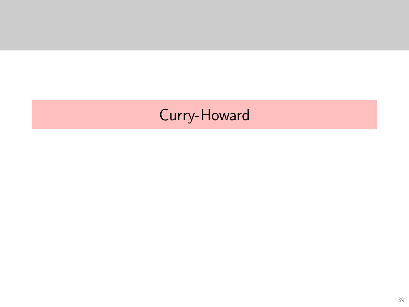# <span id="page-95-0"></span>Curry-Howard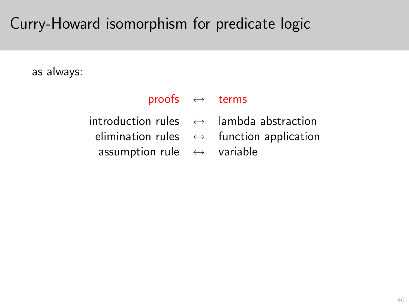### Curry-Howard isomorphism for predicate logic

as always:

- proofs  $\leftrightarrow$  terms
- -
	- assumption rule ↔ variable
- $introduction$  rules  $\leftrightarrow$  lambda abstraction
	- elimination rules  $\leftrightarrow$  function application
		-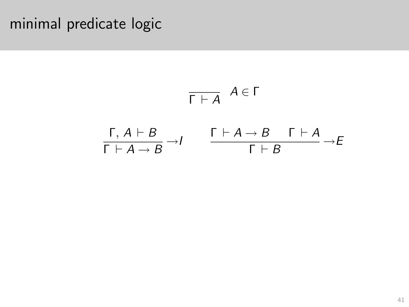$$
\frac{}{\Gamma \vdash A} A \in \Gamma
$$
\n
$$
\frac{\Gamma, A \vdash B}{\Gamma \vdash A \rightarrow B} \rightarrow I \qquad \frac{\Gamma \vdash A \rightarrow B \quad \Gamma \vdash A}{\Gamma \vdash B} \rightarrow E
$$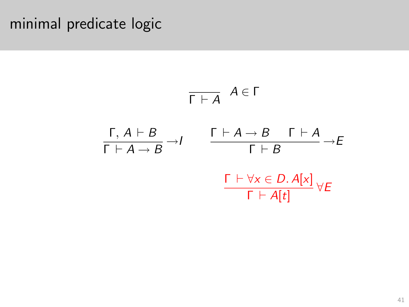$$
\frac{\Gamma + A}{\Gamma + A \rightarrow B} \xrightarrow{A \in \Gamma}
$$
\n
$$
\frac{\Gamma + A \rightarrow B \quad \Gamma + A}{\Gamma + B} \xrightarrow{A \in \Gamma}
$$
\n
$$
\frac{\Gamma + \forall x \in D. A[x]}{\Gamma + A[t]} \forall E
$$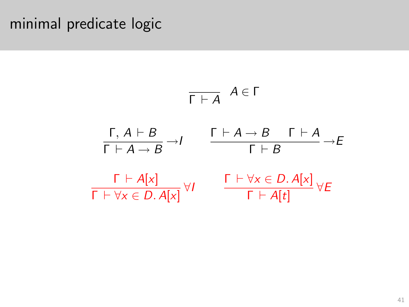$$
\frac{\Gamma, A \vdash B}{\Gamma \vdash A \rightarrow B} \rightarrow I \qquad \frac{\Gamma \vdash A \rightarrow B \quad \Gamma \vdash A}{\Gamma \vdash B} \rightarrow E
$$
\n
$$
\frac{\Gamma \vdash A[x]}{\Gamma \vdash \forall x \in D. A[x]} \forall I \qquad \frac{\Gamma \vdash \forall x \in D. A[x]}{\Gamma \vdash A[t]} \forall E
$$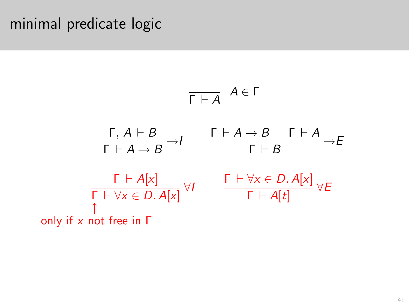$$
\begin{array}{ccc}\n\overline{\Gamma \vdash A} & A \in \Gamma \\
\frac{\Gamma, A \vdash B}{\Gamma \vdash A \rightarrow B} \rightarrow I & \frac{\Gamma \vdash A \rightarrow B & \Gamma \vdash A}{\Gamma \vdash B} \rightarrow E \\
\frac{\Gamma \vdash A[x]}{\Gamma \vdash \forall x \in D.A[x]} \forall I & \frac{\Gamma \vdash \forall x \in D.A[x]}{\Gamma \vdash A[t]} \forall E \\
\text{only if } x \text{ not free in } \Gamma\n\end{array}
$$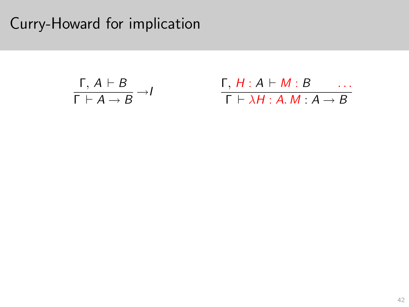## Curry-Howard for implication

$$
\frac{\Gamma, A \vdash B}{\Gamma \vdash A \rightarrow B} \rightarrow I \qquad \qquad \frac{\Gamma, H : A \vdash M : B \qquad \dots}{\Gamma \vdash \lambda H : A. M : A \rightarrow B}
$$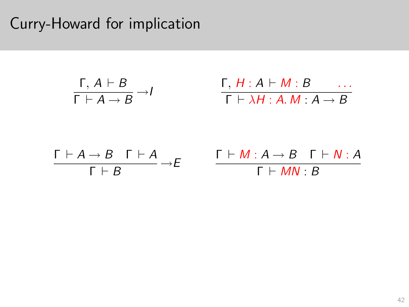## Curry-Howard for implication

$$
\begin{array}{ccc}\n\Gamma, A \vdash B & \longrightarrow I & \Gamma, H : A \vdash M : B & \dots \\
\Gamma \vdash A \rightarrow B & \Gamma \vdash A & \qquad \Gamma \vdash M : A \rightarrow B & \Gamma \vdash N : \n\end{array}
$$

$$
\frac{\Gamma \vdash A \to B \quad \Gamma \vdash A}{\Gamma \vdash B} \to E \qquad \frac{\Gamma \vdash M : A \to B \quad \Gamma \vdash N : A}{\Gamma \vdash MN : B}
$$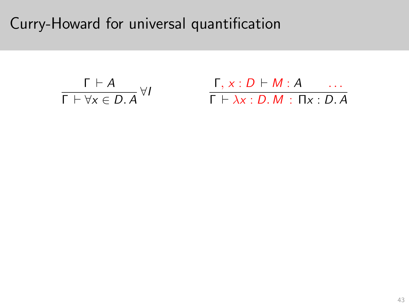Curry-Howard for universal quantification

$$
\frac{\Gamma \vdash A}{\Gamma \vdash \forall x \in D.A} \forall I \qquad \frac{\Gamma, x : D \vdash M : A \quad \dots}{\Gamma \vdash \lambda x : D.M : \Pi x : D.A}
$$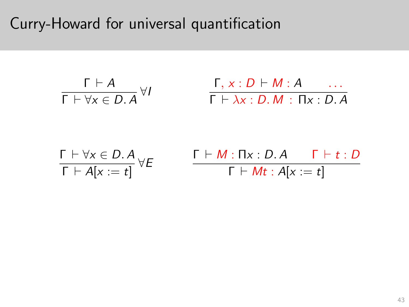Curry-Howard for universal quantification

$$
\frac{\Gamma \vdash A}{\Gamma \vdash \forall x \in D.A} \,\forall I \qquad \qquad \frac{\Gamma, x : D \vdash M : A \quad \dots}{\Gamma \vdash \lambda x : D.M : \Pi x : D.A}
$$

$$
\frac{\Gamma \vdash \forall x \in D. A}{\Gamma \vdash A[x := t]} \forall E \qquad \frac{\Gamma \vdash M : \Pi x : D. A \qquad \Gamma \vdash t : D}{\Gamma \vdash Mt : A[x := t]}
$$